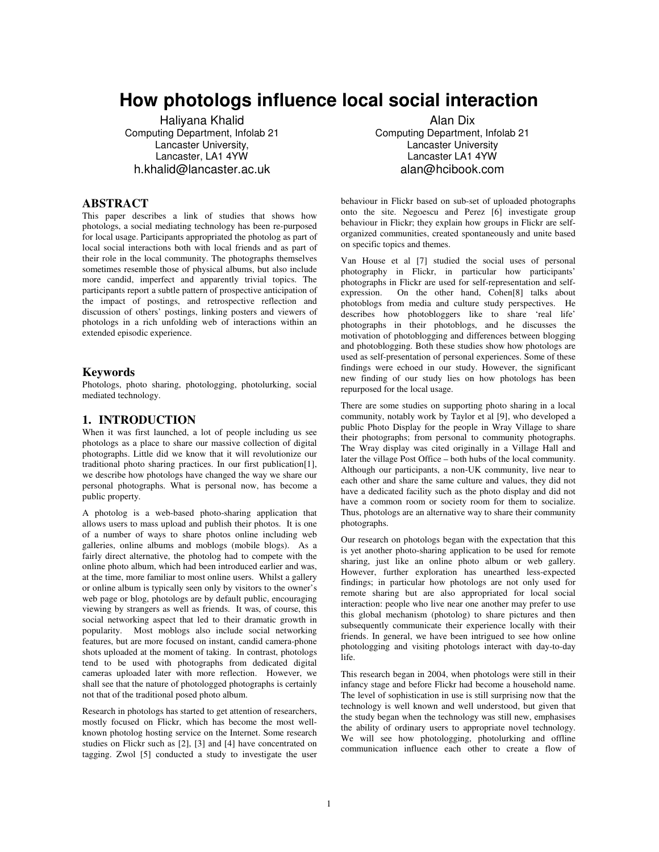# **How photologs influence local social interaction**

Haliyana Khalid Computing Department, Infolab 21 Lancaster University, Lancaster, LA1 4YW h.khalid@lancaster.ac.uk

## **ABSTRACT**

This paper describes a link of studies that shows how photologs, a social mediating technology has been re-purposed for local usage. Participants appropriated the photolog as part of local social interactions both with local friends and as part of their role in the local community. The photographs themselves sometimes resemble those of physical albums, but also include more candid, imperfect and apparently trivial topics. The participants report a subtle pattern of prospective anticipation of the impact of postings, and retrospective reflection and discussion of others' postings, linking posters and viewers of photologs in a rich unfolding web of interactions within an extended episodic experience.

### **Keywords**

Photologs, photo sharing, photologging, photolurking, social mediated technology.

### **1. INTRODUCTION**

When it was first launched, a lot of people including us see photologs as a place to share our massive collection of digital photographs. Little did we know that it will revolutionize our traditional photo sharing practices. In our first publication[1], we describe how photologs have changed the way we share our personal photographs. What is personal now, has become a public property.

A photolog is a web-based photo-sharing application that allows users to mass upload and publish their photos. It is one of a number of ways to share photos online including web galleries, online albums and moblogs (mobile blogs). As a fairly direct alternative, the photolog had to compete with the online photo album, which had been introduced earlier and was, at the time, more familiar to most online users. Whilst a gallery or online album is typically seen only by visitors to the owner's web page or blog, photologs are by default public, encouraging viewing by strangers as well as friends. It was, of course, this social networking aspect that led to their dramatic growth in popularity. Most moblogs also include social networking features, but are more focused on instant, candid camera-phone shots uploaded at the moment of taking. In contrast, photologs tend to be used with photographs from dedicated digital cameras uploaded later with more reflection. However, we shall see that the nature of photologged photographs is certainly not that of the traditional posed photo album.

Research in photologs has started to get attention of researchers, mostly focused on Flickr, which has become the most wellknown photolog hosting service on the Internet. Some research studies on Flickr such as [2], [3] and [4] have concentrated on tagging. Zwol [5] conducted a study to investigate the user

Alan Dix Computing Department, Infolab 21 Lancaster University Lancaster LA1 4YW alan@hcibook.com

behaviour in Flickr based on sub-set of uploaded photographs onto the site. Negoescu and Perez [6] investigate group behaviour in Flickr; they explain how groups in Flickr are selforganized communities, created spontaneously and unite based on specific topics and themes.

Van House et al [7] studied the social uses of personal photography in Flickr, in particular how participants' photographs in Flickr are used for self-representation and selfexpression. On the other hand, Cohen[8] talks about photoblogs from media and culture study perspectives. He describes how photobloggers like to share 'real life' photographs in their photoblogs, and he discusses the motivation of photoblogging and differences between blogging and photoblogging. Both these studies show how photologs are used as self-presentation of personal experiences. Some of these findings were echoed in our study. However, the significant new finding of our study lies on how photologs has been repurposed for the local usage.

There are some studies on supporting photo sharing in a local community, notably work by Taylor et al [9], who developed a public Photo Display for the people in Wray Village to share their photographs; from personal to community photographs. The Wray display was cited originally in a Village Hall and later the village Post Office – both hubs of the local community. Although our participants, a non-UK community, live near to each other and share the same culture and values, they did not have a dedicated facility such as the photo display and did not have a common room or society room for them to socialize. Thus, photologs are an alternative way to share their community photographs.

Our research on photologs began with the expectation that this is yet another photo-sharing application to be used for remote sharing, just like an online photo album or web gallery. However, further exploration has unearthed less-expected findings; in particular how photologs are not only used for remote sharing but are also appropriated for local social interaction: people who live near one another may prefer to use this global mechanism (photolog) to share pictures and then subsequently communicate their experience locally with their friends. In general, we have been intrigued to see how online photologging and visiting photologs interact with day-to-day life.

This research began in 2004, when photologs were still in their infancy stage and before Flickr had become a household name. The level of sophistication in use is still surprising now that the technology is well known and well understood, but given that the study began when the technology was still new, emphasises the ability of ordinary users to appropriate novel technology. We will see how photologging, photolurking and offline communication influence each other to create a flow of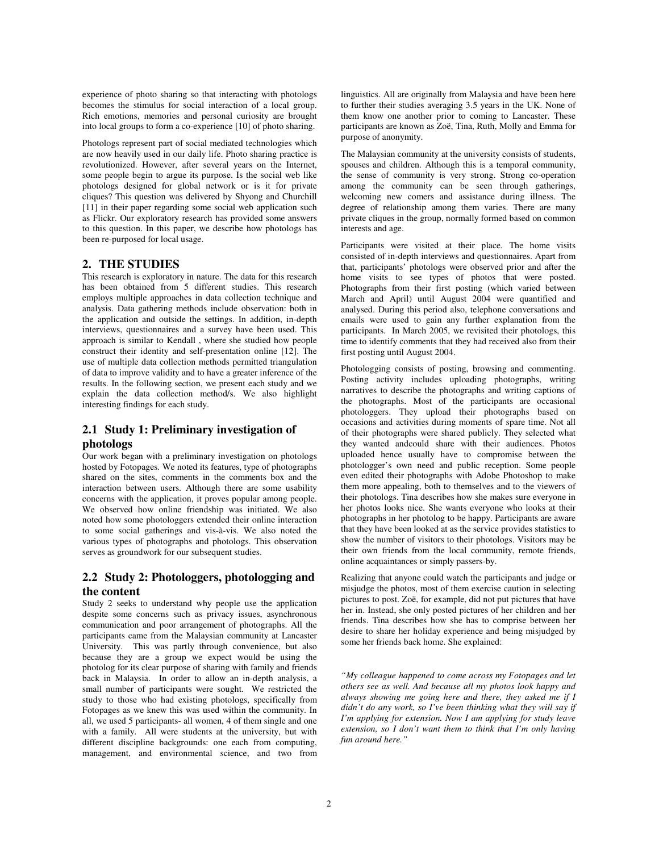experience of photo sharing so that interacting with photologs becomes the stimulus for social interaction of a local group. Rich emotions, memories and personal curiosity are brought into local groups to form a co-experience [10] of photo sharing.

Photologs represent part of social mediated technologies which are now heavily used in our daily life. Photo sharing practice is revolutionized. However, after several years on the Internet, some people begin to argue its purpose. Is the social web like photologs designed for global network or is it for private cliques? This question was delivered by Shyong and Churchill [11] in their paper regarding some social web application such as Flickr. Our exploratory research has provided some answers to this question. In this paper, we describe how photologs has been re-purposed for local usage.

### **2. THE STUDIES**

This research is exploratory in nature. The data for this research has been obtained from 5 different studies. This research employs multiple approaches in data collection technique and analysis. Data gathering methods include observation: both in the application and outside the settings. In addition, in-depth interviews, questionnaires and a survey have been used. This approach is similar to Kendall , where she studied how people construct their identity and self-presentation online [12]. The use of multiple data collection methods permitted triangulation of data to improve validity and to have a greater inference of the results. In the following section, we present each study and we explain the data collection method/s. We also highlight interesting findings for each study.

# **2.1 Study 1: Preliminary investigation of photologs**

Our work began with a preliminary investigation on photologs hosted by Fotopages. We noted its features, type of photographs shared on the sites, comments in the comments box and the interaction between users. Although there are some usability concerns with the application, it proves popular among people. We observed how online friendship was initiated. We also noted how some photologgers extended their online interaction to some social gatherings and vis-à-vis. We also noted the various types of photographs and photologs. This observation serves as groundwork for our subsequent studies.

# **2.2 Study 2: Photologgers, photologging and the content**

Study 2 seeks to understand why people use the application despite some concerns such as privacy issues, asynchronous communication and poor arrangement of photographs. All the participants came from the Malaysian community at Lancaster University. This was partly through convenience, but also because they are a group we expect would be using the photolog for its clear purpose of sharing with family and friends back in Malaysia. In order to allow an in-depth analysis, a small number of participants were sought. We restricted the study to those who had existing photologs, specifically from Fotopages as we knew this was used within the community. In all, we used 5 participants- all women, 4 of them single and one with a family. All were students at the university, but with different discipline backgrounds: one each from computing, management, and environmental science, and two from linguistics. All are originally from Malaysia and have been here to further their studies averaging 3.5 years in the UK. None of them know one another prior to coming to Lancaster. These participants are known as Zoë, Tina, Ruth, Molly and Emma for purpose of anonymity.

The Malaysian community at the university consists of students, spouses and children. Although this is a temporal community, the sense of community is very strong. Strong co-operation among the community can be seen through gatherings, welcoming new comers and assistance during illness. The degree of relationship among them varies. There are many private cliques in the group, normally formed based on common interests and age.

Participants were visited at their place. The home visits consisted of in-depth interviews and questionnaires. Apart from that, participants' photologs were observed prior and after the home visits to see types of photos that were posted. Photographs from their first posting (which varied between March and April) until August 2004 were quantified and analysed. During this period also, telephone conversations and emails were used to gain any further explanation from the participants. In March 2005, we revisited their photologs, this time to identify comments that they had received also from their first posting until August 2004.

Photologging consists of posting, browsing and commenting. Posting activity includes uploading photographs, writing narratives to describe the photographs and writing captions of the photographs. Most of the participants are occasional photologgers. They upload their photographs based on occasions and activities during moments of spare time. Not all of their photographs were shared publicly. They selected what they wanted andcould share with their audiences. Photos uploaded hence usually have to compromise between the photologger's own need and public reception. Some people even edited their photographs with Adobe Photoshop to make them more appealing, both to themselves and to the viewers of their photologs. Tina describes how she makes sure everyone in her photos looks nice. She wants everyone who looks at their photographs in her photolog to be happy. Participants are aware that they have been looked at as the service provides statistics to show the number of visitors to their photologs. Visitors may be their own friends from the local community, remote friends, online acquaintances or simply passers-by.

Realizing that anyone could watch the participants and judge or misjudge the photos, most of them exercise caution in selecting pictures to post. Zoë, for example, did not put pictures that have her in. Instead, she only posted pictures of her children and her friends. Tina describes how she has to comprise between her desire to share her holiday experience and being misjudged by some her friends back home. She explained:

*"My colleague happened to come across my Fotopages and let others see as well. And because all my photos look happy and always showing me going here and there, they asked me if I didn't do any work, so I've been thinking what they will say if I'm applying for extension. Now I am applying for study leave extension, so I don't want them to think that I'm only having fun around here."*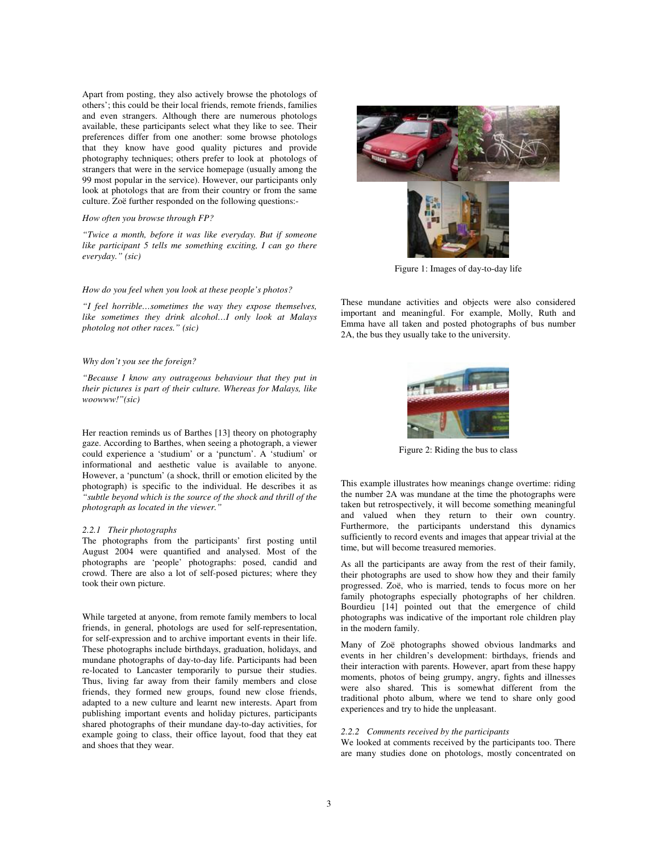Apart from posting, they also actively browse the photologs of others'; this could be their local friends, remote friends, families and even strangers. Although there are numerous photologs available, these participants select what they like to see. Their preferences differ from one another: some browse photologs that they know have good quality pictures and provide photography techniques; others prefer to look at photologs of strangers that were in the service homepage (usually among the 99 most popular in the service). However, our participants only look at photologs that are from their country or from the same culture. Zoë further responded on the following questions:-

#### *How often you browse through FP?*

*"Twice a month, before it was like everyday. But if someone like participant 5 tells me something exciting, I can go there everyday." (sic)* 

#### *How do you feel when you look at these people's photos?*

*"I feel horrible…sometimes the way they expose themselves, like sometimes they drink alcohol…I only look at Malays photolog not other races." (sic)* 

#### *Why don't you see the foreign?*

*"Because I know any outrageous behaviour that they put in their pictures is part of their culture. Whereas for Malays, like woowww!"(sic)* 

Her reaction reminds us of Barthes [13] theory on photography gaze. According to Barthes, when seeing a photograph, a viewer could experience a 'studium' or a 'punctum'. A 'studium' or informational and aesthetic value is available to anyone. However, a 'punctum' (a shock, thrill or emotion elicited by the photograph) is specific to the individual. He describes it as *"subtle beyond which is the source of the shock and thrill of the photograph as located in the viewer."*

#### *2.2.1 Their photographs*

The photographs from the participants' first posting until August 2004 were quantified and analysed. Most of the photographs are 'people' photographs: posed, candid and crowd. There are also a lot of self-posed pictures; where they took their own picture.

While targeted at anyone, from remote family members to local friends, in general, photologs are used for self-representation, for self-expression and to archive important events in their life. These photographs include birthdays, graduation, holidays, and mundane photographs of day-to-day life. Participants had been re-located to Lancaster temporarily to pursue their studies. Thus, living far away from their family members and close friends, they formed new groups, found new close friends, adapted to a new culture and learnt new interests. Apart from publishing important events and holiday pictures, participants shared photographs of their mundane day-to-day activities, for example going to class, their office layout, food that they eat and shoes that they wear.



Figure 1: Images of day-to-day life

These mundane activities and objects were also considered important and meaningful. For example, Molly, Ruth and Emma have all taken and posted photographs of bus number 2A, the bus they usually take to the university.



Figure 2: Riding the bus to class

This example illustrates how meanings change overtime: riding the number 2A was mundane at the time the photographs were taken but retrospectively, it will become something meaningful and valued when they return to their own country. Furthermore, the participants understand this dynamics sufficiently to record events and images that appear trivial at the time, but will become treasured memories.

As all the participants are away from the rest of their family, their photographs are used to show how they and their family progressed. Zoë, who is married, tends to focus more on her family photographs especially photographs of her children. Bourdieu [14] pointed out that the emergence of child photographs was indicative of the important role children play in the modern family.

Many of Zoë photographs showed obvious landmarks and events in her children's development: birthdays, friends and their interaction with parents. However, apart from these happy moments, photos of being grumpy, angry, fights and illnesses were also shared. This is somewhat different from the traditional photo album, where we tend to share only good experiences and try to hide the unpleasant.

#### *2.2.2 Comments received by the participants*

We looked at comments received by the participants too. There are many studies done on photologs, mostly concentrated on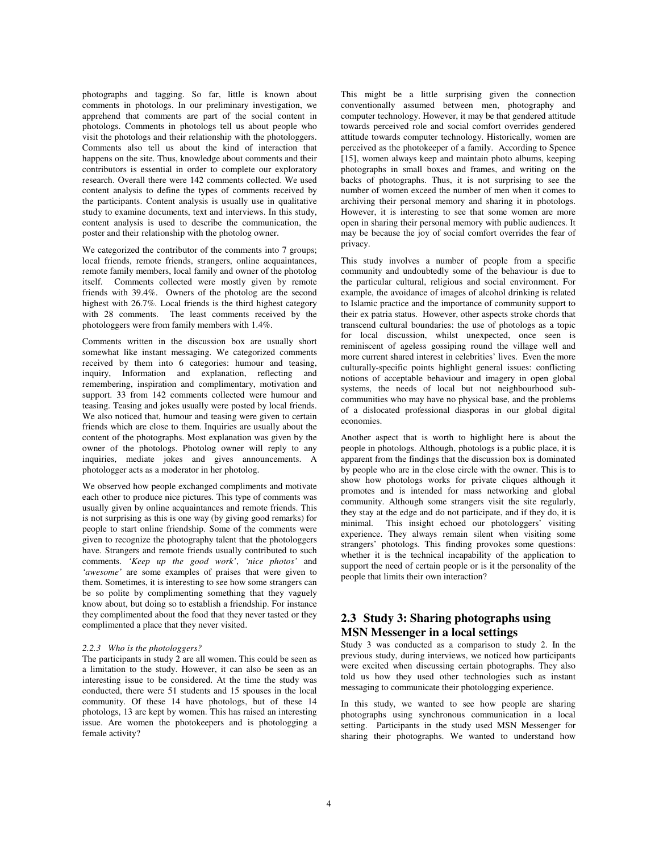photographs and tagging. So far, little is known about comments in photologs. In our preliminary investigation, we apprehend that comments are part of the social content in photologs. Comments in photologs tell us about people who visit the photologs and their relationship with the photologgers. Comments also tell us about the kind of interaction that happens on the site. Thus, knowledge about comments and their contributors is essential in order to complete our exploratory research. Overall there were 142 comments collected. We used content analysis to define the types of comments received by the participants. Content analysis is usually use in qualitative study to examine documents, text and interviews. In this study, content analysis is used to describe the communication, the poster and their relationship with the photolog owner.

We categorized the contributor of the comments into 7 groups; local friends, remote friends, strangers, online acquaintances, remote family members, local family and owner of the photolog itself. Comments collected were mostly given by remote friends with 39.4%. Owners of the photolog are the second highest with 26.7%. Local friends is the third highest category with 28 comments. The least comments received by the photologgers were from family members with 1.4%.

Comments written in the discussion box are usually short somewhat like instant messaging. We categorized comments received by them into 6 categories: humour and teasing, inquiry, Information and explanation, reflecting and remembering, inspiration and complimentary, motivation and support. 33 from 142 comments collected were humour and teasing. Teasing and jokes usually were posted by local friends. We also noticed that, humour and teasing were given to certain friends which are close to them. Inquiries are usually about the content of the photographs. Most explanation was given by the owner of the photologs. Photolog owner will reply to any inquiries, mediate jokes and gives announcements. A photologger acts as a moderator in her photolog.

We observed how people exchanged compliments and motivate each other to produce nice pictures. This type of comments was usually given by online acquaintances and remote friends. This is not surprising as this is one way (by giving good remarks) for people to start online friendship. Some of the comments were given to recognize the photography talent that the photologgers have. Strangers and remote friends usually contributed to such comments. *'Keep up the good work'*, *'nice photos'* and *'awesome'* are some examples of praises that were given to them. Sometimes, it is interesting to see how some strangers can be so polite by complimenting something that they vaguely know about, but doing so to establish a friendship. For instance they complimented about the food that they never tasted or they complimented a place that they never visited.

#### *2.2.3 Who is the photologgers?*

The participants in study 2 are all women. This could be seen as a limitation to the study. However, it can also be seen as an interesting issue to be considered. At the time the study was conducted, there were 51 students and 15 spouses in the local community. Of these 14 have photologs, but of these 14 photologs, 13 are kept by women. This has raised an interesting issue. Are women the photokeepers and is photologging a female activity?

This might be a little surprising given the connection conventionally assumed between men, photography and computer technology. However, it may be that gendered attitude towards perceived role and social comfort overrides gendered attitude towards computer technology. Historically, women are perceived as the photokeeper of a family. According to Spence [15], women always keep and maintain photo albums, keeping photographs in small boxes and frames, and writing on the backs of photographs. Thus, it is not surprising to see the number of women exceed the number of men when it comes to archiving their personal memory and sharing it in photologs. However, it is interesting to see that some women are more open in sharing their personal memory with public audiences. It may be because the joy of social comfort overrides the fear of privacy.

This study involves a number of people from a specific community and undoubtedly some of the behaviour is due to the particular cultural, religious and social environment. For example, the avoidance of images of alcohol drinking is related to Islamic practice and the importance of community support to their ex patria status. However, other aspects stroke chords that transcend cultural boundaries: the use of photologs as a topic for local discussion, whilst unexpected, once seen is reminiscent of ageless gossiping round the village well and more current shared interest in celebrities' lives. Even the more culturally-specific points highlight general issues: conflicting notions of acceptable behaviour and imagery in open global systems, the needs of local but not neighbourhood subcommunities who may have no physical base, and the problems of a dislocated professional diasporas in our global digital economies.

Another aspect that is worth to highlight here is about the people in photologs. Although, photologs is a public place, it is apparent from the findings that the discussion box is dominated by people who are in the close circle with the owner. This is to show how photologs works for private cliques although it promotes and is intended for mass networking and global community. Although some strangers visit the site regularly, they stay at the edge and do not participate, and if they do, it is minimal. This insight echoed our photologgers' visiting experience. They always remain silent when visiting some strangers' photologs. This finding provokes some questions: whether it is the technical incapability of the application to support the need of certain people or is it the personality of the people that limits their own interaction?

## **2.3 Study 3: Sharing photographs using MSN Messenger in a local settings**

Study 3 was conducted as a comparison to study 2. In the previous study, during interviews, we noticed how participants were excited when discussing certain photographs. They also told us how they used other technologies such as instant messaging to communicate their photologging experience.

In this study, we wanted to see how people are sharing photographs using synchronous communication in a local setting. Participants in the study used MSN Messenger for sharing their photographs. We wanted to understand how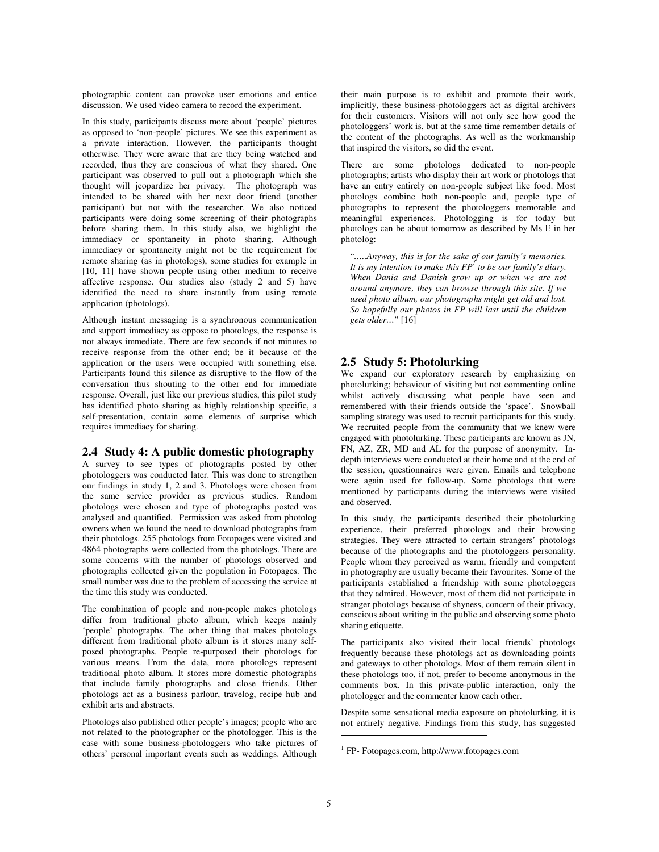photographic content can provoke user emotions and entice discussion. We used video camera to record the experiment.

In this study, participants discuss more about 'people' pictures as opposed to 'non-people' pictures. We see this experiment as a private interaction. However, the participants thought otherwise. They were aware that are they being watched and recorded, thus they are conscious of what they shared. One participant was observed to pull out a photograph which she thought will jeopardize her privacy. The photograph was intended to be shared with her next door friend (another participant) but not with the researcher. We also noticed participants were doing some screening of their photographs before sharing them. In this study also, we highlight the immediacy or spontaneity in photo sharing. Although immediacy or spontaneity might not be the requirement for remote sharing (as in photologs), some studies for example in [10, 11] have shown people using other medium to receive affective response. Our studies also (study 2 and 5) have identified the need to share instantly from using remote application (photologs).

Although instant messaging is a synchronous communication and support immediacy as oppose to photologs, the response is not always immediate. There are few seconds if not minutes to receive response from the other end; be it because of the application or the users were occupied with something else. Participants found this silence as disruptive to the flow of the conversation thus shouting to the other end for immediate response. Overall, just like our previous studies, this pilot study has identified photo sharing as highly relationship specific, a self-presentation, contain some elements of surprise which requires immediacy for sharing.

### **2.4 Study 4: A public domestic photography**

A survey to see types of photographs posted by other photologgers was conducted later. This was done to strengthen our findings in study 1, 2 and 3. Photologs were chosen from the same service provider as previous studies. Random photologs were chosen and type of photographs posted was analysed and quantified. Permission was asked from photolog owners when we found the need to download photographs from their photologs. 255 photologs from Fotopages were visited and 4864 photographs were collected from the photologs. There are some concerns with the number of photologs observed and photographs collected given the population in Fotopages. The small number was due to the problem of accessing the service at the time this study was conducted.

The combination of people and non-people makes photologs differ from traditional photo album, which keeps mainly 'people' photographs. The other thing that makes photologs different from traditional photo album is it stores many selfposed photographs. People re-purposed their photologs for various means. From the data, more photologs represent traditional photo album. It stores more domestic photographs that include family photographs and close friends. Other photologs act as a business parlour, travelog, recipe hub and exhibit arts and abstracts.

Photologs also published other people's images; people who are not related to the photographer or the photologger. This is the case with some business-photologgers who take pictures of others' personal important events such as weddings. Although their main purpose is to exhibit and promote their work, implicitly, these business-photologgers act as digital archivers for their customers. Visitors will not only see how good the photologgers' work is, but at the same time remember details of the content of the photographs. As well as the workmanship that inspired the visitors, so did the event.

There are some photologs dedicated to non-people photographs; artists who display their art work or photologs that have an entry entirely on non-people subject like food. Most photologs combine both non-people and, people type of photographs to represent the photologgers memorable and meaningful experiences. Photologging is for today but photologs can be about tomorrow as described by Ms E in her photolog:

"*…..Anyway, this is for the sake of our family's memories. It is my intention to make this FP<sup>1</sup> to be our family's diary. When Dania and Danish grow up or when we are not around anymore, they can browse through this site. If we used photo album, our photographs might get old and lost. So hopefully our photos in FP will last until the children gets older…*" [16]

### **2.5 Study 5: Photolurking**

We expand our exploratory research by emphasizing on photolurking; behaviour of visiting but not commenting online whilst actively discussing what people have seen and remembered with their friends outside the 'space'. Snowball sampling strategy was used to recruit participants for this study. We recruited people from the community that we knew were engaged with photolurking. These participants are known as JN, FN, AZ, ZR, MD and AL for the purpose of anonymity. Indepth interviews were conducted at their home and at the end of the session, questionnaires were given. Emails and telephone were again used for follow-up. Some photologs that were mentioned by participants during the interviews were visited and observed.

In this study, the participants described their photolurking experience, their preferred photologs and their browsing strategies. They were attracted to certain strangers' photologs because of the photographs and the photologgers personality. People whom they perceived as warm, friendly and competent in photography are usually became their favourites. Some of the participants established a friendship with some photologgers that they admired. However, most of them did not participate in stranger photologs because of shyness, concern of their privacy, conscious about writing in the public and observing some photo sharing etiquette.

The participants also visited their local friends' photologs frequently because these photologs act as downloading points and gateways to other photologs. Most of them remain silent in these photologs too, if not, prefer to become anonymous in the comments box. In this private-public interaction, only the photologger and the commenter know each other.

Despite some sensational media exposure on photolurking, it is not entirely negative. Findings from this study, has suggested

 $\overline{a}$ 

<sup>1</sup> FP- Fotopages.com, http://www.fotopages.com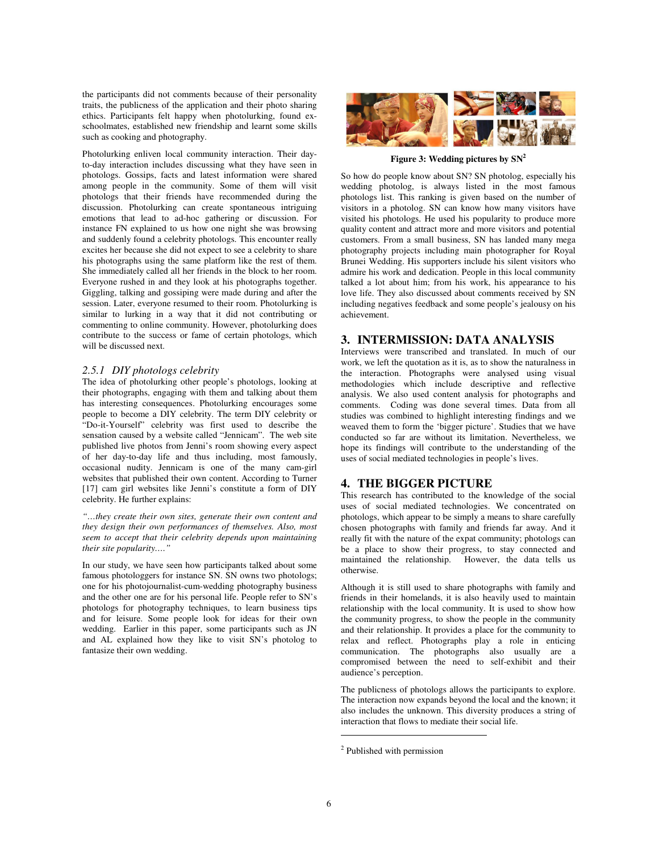the participants did not comments because of their personality traits, the publicness of the application and their photo sharing ethics. Participants felt happy when photolurking, found exschoolmates, established new friendship and learnt some skills such as cooking and photography.

Photolurking enliven local community interaction. Their dayto-day interaction includes discussing what they have seen in photologs. Gossips, facts and latest information were shared among people in the community. Some of them will visit photologs that their friends have recommended during the discussion. Photolurking can create spontaneous intriguing emotions that lead to ad-hoc gathering or discussion. For instance FN explained to us how one night she was browsing and suddenly found a celebrity photologs. This encounter really excites her because she did not expect to see a celebrity to share his photographs using the same platform like the rest of them. She immediately called all her friends in the block to her room. Everyone rushed in and they look at his photographs together. Giggling, talking and gossiping were made during and after the session. Later, everyone resumed to their room. Photolurking is similar to lurking in a way that it did not contributing or commenting to online community. However, photolurking does contribute to the success or fame of certain photologs, which will be discussed next.

#### *2.5.1 DIY photologs celebrity*

The idea of photolurking other people's photologs, looking at their photographs, engaging with them and talking about them has interesting consequences. Photolurking encourages some people to become a DIY celebrity. The term DIY celebrity or "Do-it-Yourself" celebrity was first used to describe the sensation caused by a website called "Jennicam". The web site published live photos from Jenni's room showing every aspect of her day-to-day life and thus including, most famously, occasional nudity. Jennicam is one of the many cam-girl websites that published their own content. According to Turner [17] cam girl websites like Jenni's constitute a form of DIY celebrity. He further explains:

*"…they create their own sites, generate their own content and they design their own performances of themselves. Also, most seem to accept that their celebrity depends upon maintaining their site popularity…."* 

In our study, we have seen how participants talked about some famous photologgers for instance SN. SN owns two photologs; one for his photojournalist-cum-wedding photography business and the other one are for his personal life. People refer to SN's photologs for photography techniques, to learn business tips and for leisure. Some people look for ideas for their own wedding. Earlier in this paper, some participants such as JN and AL explained how they like to visit SN's photolog to fantasize their own wedding.



**Figure 3: Wedding pictures by SN<sup>2</sup>**

So how do people know about SN? SN photolog, especially his wedding photolog, is always listed in the most famous photologs list. This ranking is given based on the number of visitors in a photolog. SN can know how many visitors have visited his photologs. He used his popularity to produce more quality content and attract more and more visitors and potential customers. From a small business, SN has landed many mega photography projects including main photographer for Royal Brunei Wedding. His supporters include his silent visitors who admire his work and dedication. People in this local community talked a lot about him; from his work, his appearance to his love life. They also discussed about comments received by SN including negatives feedback and some people's jealousy on his achievement.

### **3. INTERMISSION: DATA ANALYSIS**

Interviews were transcribed and translated. In much of our work, we left the quotation as it is, as to show the naturalness in the interaction. Photographs were analysed using visual methodologies which include descriptive and reflective analysis. We also used content analysis for photographs and comments. Coding was done several times. Data from all studies was combined to highlight interesting findings and we weaved them to form the 'bigger picture'. Studies that we have conducted so far are without its limitation. Nevertheless, we hope its findings will contribute to the understanding of the uses of social mediated technologies in people's lives.

### **4. THE BIGGER PICTURE**

This research has contributed to the knowledge of the social uses of social mediated technologies. We concentrated on photologs, which appear to be simply a means to share carefully chosen photographs with family and friends far away. And it really fit with the nature of the expat community; photologs can be a place to show their progress, to stay connected and maintained the relationship. However, the data tells us otherwise.

Although it is still used to share photographs with family and friends in their homelands, it is also heavily used to maintain relationship with the local community. It is used to show how the community progress, to show the people in the community and their relationship. It provides a place for the community to relax and reflect. Photographs play a role in enticing communication. The photographs also usually are a compromised between the need to self-exhibit and their audience's perception.

The publicness of photologs allows the participants to explore. The interaction now expands beyond the local and the known; it also includes the unknown. This diversity produces a string of interaction that flows to mediate their social life.

 $\overline{a}$ 

<sup>&</sup>lt;sup>2</sup> Published with permission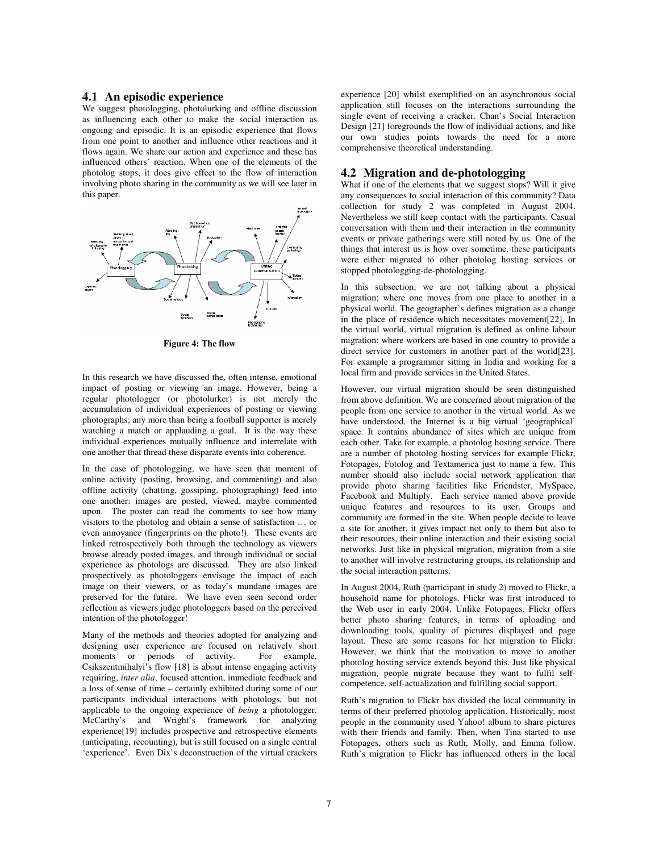### **4.1 An episodic experience**

We suggest photologging, photolurking and offline discussion as influencing each other to make the social interaction as ongoing and episodic. It is an episodic experience that flows from one point to another and influence other reactions and it flows again. We share our action and experience and these has influenced others' reaction. When one of the elements of the photolog stops, it does give effect to the flow of interaction involving photo sharing in the community as we will see later in this paper.



**Figure 4: The flow** 

In this research we have discussed the, often intense, emotional impact of posting or viewing an image. However, being a regular photologger (or photolurker) is not merely the accumulation of individual experiences of posting or viewing photographs; any more than being a football supporter is merely watching a match or applauding a goal. It is the way these individual experiences mutually influence and interrelate with one another that thread these disparate events into coherence.

In the case of photologging, we have seen that moment of online activity (posting, browsing, and commenting) and also offline activity (chatting, gossiping, photographing) feed into one another: images are posted, viewed, maybe commented upon. The poster can read the comments to see how many visitors to the photolog and obtain a sense of satisfaction … or even annoyance (fingerprints on the photo!). These events are linked retrospectively both through the technology as viewers browse already posted images, and through individual or social experience as photologs are discussed. They are also linked prospectively as photologgers envisage the impact of each image on their viewers, or as today's mundane images are preserved for the future. We have even seen second order reflection as viewers judge photologgers based on the perceived intention of the photologger!

Many of the methods and theories adopted for analyzing and designing user experience are focused on relatively short moments or periods of activity. For example, moments or periods of activity. Csikszentmihalyi's flow [18] is about intense engaging activity requiring, *inter alia*, focused attention, immediate feedback and a loss of sense of time – certainly exhibited during some of our participants individual interactions with photologs, but not applicable to the ongoing experience of *being* a photologger. McCarthy's and Wright's framework for analyzing experience[19] includes prospective and retrospective elements (anticipating, recounting), but is still focused on a single central 'experience'. Even Dix's deconstruction of the virtual crackers experience [20] whilst exemplified on an asynchronous social application still focuses on the interactions surrounding the single event of receiving a cracker. Chan's Social Interaction Design [21] foregrounds the flow of individual actions, and like our own studies points towards the need for a more comprehensive theoretical understanding.

#### **4.2 Migration and de-photologging**

What if one of the elements that we suggest stops? Will it give any consequences to social interaction of this community? Data collection for study 2 was completed in August 2004. Nevertheless we still keep contact with the participants. Casual conversation with them and their interaction in the community events or private gatherings were still noted by us. One of the things that interest us is how over sometime, these participants were either migrated to other photolog hosting services or stopped photologging-de-photologging.

In this subsection, we are not talking about a physical migration; where one moves from one place to another in a physical world. The geographer's defines migration as a change in the place of residence which necessitates movement[22]. In the virtual world, virtual migration is defined as online labour migration; where workers are based in one country to provide a direct service for customers in another part of the world[23]. For example a programmer sitting in India and working for a local firm and provide services in the United States.

However, our virtual migration should be seen distinguished from above definition. We are concerned about migration of the people from one service to another in the virtual world. As we have understood, the Internet is a big virtual 'geographical' space. It contains abundance of sites which are unique from each other. Take for example, a photolog hosting service. There are a number of photolog hosting services for example Flickr, Fotopages, Fotolog and Textamerica just to name a few. This number should also include social network application that provide photo sharing facilities like Friendster, MySpace, Facebook and Multiply. Each service named above provide unique features and resources to its user. Groups and community are formed in the site. When people decide to leave a site for another, it gives impact not only to them but also to their resources, their online interaction and their existing social networks. Just like in physical migration, migration from a site to another will involve restructuring groups, its relationship and the social interaction patterns.

In August 2004, Ruth (participant in study 2) moved to Flickr, a household name for photologs. Flickr was first introduced to the Web user in early 2004. Unlike Fotopages, Flickr offers better photo sharing features, in terms of uploading and downloading tools, quality of pictures displayed and page layout. These are some reasons for her migration to Flickr. However, we think that the motivation to move to another photolog hosting service extends beyond this. Just like physical migration, people migrate because they want to fulfil selfcompetence, self-actualization and fulfilling social support.

Ruth's migration to Flickr has divided the local community in terms of their preferred photolog application. Historically, most people in the community used Yahoo! album to share pictures with their friends and family. Then, when Tina started to use Fotopages, others such as Ruth, Molly, and Emma follow. Ruth's migration to Flickr has influenced others in the local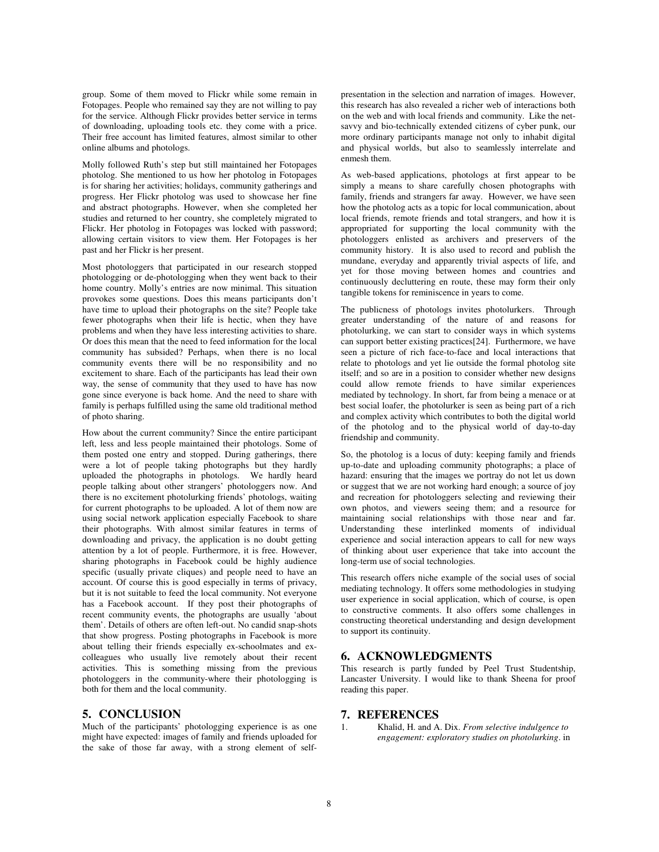group. Some of them moved to Flickr while some remain in Fotopages. People who remained say they are not willing to pay for the service. Although Flickr provides better service in terms of downloading, uploading tools etc. they come with a price. Their free account has limited features, almost similar to other online albums and photologs.

Molly followed Ruth's step but still maintained her Fotopages photolog. She mentioned to us how her photolog in Fotopages is for sharing her activities; holidays, community gatherings and progress. Her Flickr photolog was used to showcase her fine and abstract photographs. However, when she completed her studies and returned to her country, she completely migrated to Flickr. Her photolog in Fotopages was locked with password; allowing certain visitors to view them. Her Fotopages is her past and her Flickr is her present.

Most photologgers that participated in our research stopped photologging or de-photologging when they went back to their home country. Molly's entries are now minimal. This situation provokes some questions. Does this means participants don't have time to upload their photographs on the site? People take fewer photographs when their life is hectic, when they have problems and when they have less interesting activities to share. Or does this mean that the need to feed information for the local community has subsided? Perhaps, when there is no local community events there will be no responsibility and no excitement to share. Each of the participants has lead their own way, the sense of community that they used to have has now gone since everyone is back home. And the need to share with family is perhaps fulfilled using the same old traditional method of photo sharing.

How about the current community? Since the entire participant left, less and less people maintained their photologs. Some of them posted one entry and stopped. During gatherings, there were a lot of people taking photographs but they hardly uploaded the photographs in photologs. We hardly heard people talking about other strangers' photologgers now. And there is no excitement photolurking friends' photologs, waiting for current photographs to be uploaded. A lot of them now are using social network application especially Facebook to share their photographs. With almost similar features in terms of downloading and privacy, the application is no doubt getting attention by a lot of people. Furthermore, it is free. However, sharing photographs in Facebook could be highly audience specific (usually private cliques) and people need to have an account. Of course this is good especially in terms of privacy, but it is not suitable to feed the local community. Not everyone has a Facebook account. If they post their photographs of recent community events, the photographs are usually 'about them'. Details of others are often left-out. No candid snap-shots that show progress. Posting photographs in Facebook is more about telling their friends especially ex-schoolmates and excolleagues who usually live remotely about their recent activities. This is something missing from the previous photologgers in the community-where their photologging is both for them and the local community.

#### **5. CONCLUSION**

Much of the participants' photologging experience is as one might have expected: images of family and friends uploaded for the sake of those far away, with a strong element of selfpresentation in the selection and narration of images. However, this research has also revealed a richer web of interactions both on the web and with local friends and community. Like the netsavvy and bio-technically extended citizens of cyber punk, our more ordinary participants manage not only to inhabit digital and physical worlds, but also to seamlessly interrelate and enmesh them.

As web-based applications, photologs at first appear to be simply a means to share carefully chosen photographs with family, friends and strangers far away. However, we have seen how the photolog acts as a topic for local communication, about local friends, remote friends and total strangers, and how it is appropriated for supporting the local community with the photologgers enlisted as archivers and preservers of the community history. It is also used to record and publish the mundane, everyday and apparently trivial aspects of life, and yet for those moving between homes and countries and continuously decluttering en route, these may form their only tangible tokens for reminiscence in years to come.

The publicness of photologs invites photolurkers. Through greater understanding of the nature of and reasons for photolurking, we can start to consider ways in which systems can support better existing practices[24]. Furthermore, we have seen a picture of rich face-to-face and local interactions that relate to photologs and yet lie outside the formal photolog site itself; and so are in a position to consider whether new designs could allow remote friends to have similar experiences mediated by technology. In short, far from being a menace or at best social loafer, the photolurker is seen as being part of a rich and complex activity which contributes to both the digital world of the photolog and to the physical world of day-to-day friendship and community.

So, the photolog is a locus of duty: keeping family and friends up-to-date and uploading community photographs; a place of hazard: ensuring that the images we portray do not let us down or suggest that we are not working hard enough; a source of joy and recreation for photologgers selecting and reviewing their own photos, and viewers seeing them; and a resource for maintaining social relationships with those near and far. Understanding these interlinked moments of individual experience and social interaction appears to call for new ways of thinking about user experience that take into account the long-term use of social technologies.

This research offers niche example of the social uses of social mediating technology. It offers some methodologies in studying user experience in social application, which of course, is open to constructive comments. It also offers some challenges in constructing theoretical understanding and design development to support its continuity.

### **6. ACKNOWLEDGMENTS**

This research is partly funded by Peel Trust Studentship, Lancaster University. I would like to thank Sheena for proof reading this paper.

#### **7. REFERENCES**

1. Khalid, H. and A. Dix. *From selective indulgence to engagement: exploratory studies on photolurking*. in